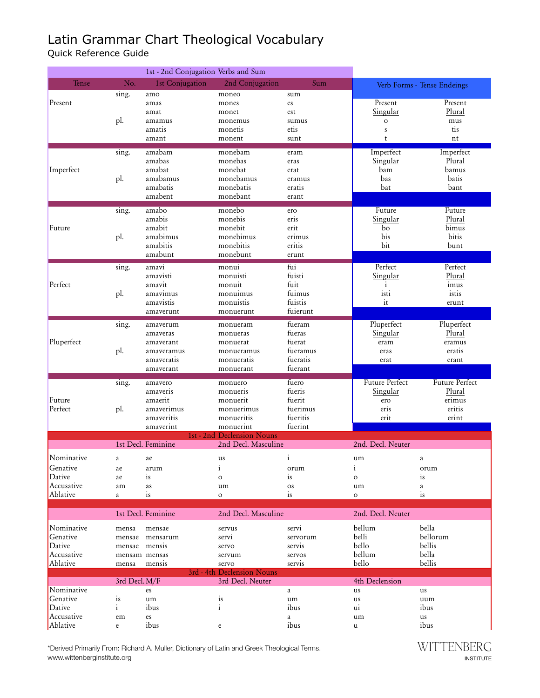## Latin Grammar Chart Theological Vocabulary

Quick Reference Guide

|                                                            |                                                            | 1st - 2nd Conjugation Verbs and Sum                                        |                                                                                                    |                                                               |                                                          |                                                       |
|------------------------------------------------------------|------------------------------------------------------------|----------------------------------------------------------------------------|----------------------------------------------------------------------------------------------------|---------------------------------------------------------------|----------------------------------------------------------|-------------------------------------------------------|
| Tense                                                      | No.                                                        | 1st Conjugation                                                            | 2nd Conjugation                                                                                    | Sum                                                           |                                                          | Verb Forms - Tense Endeings                           |
| Present                                                    | sing.<br>pl.                                               | amo<br>amas<br>amat<br>amamus<br>amatis<br>amant                           | moneo<br>mones<br>monet<br>monemus<br>monetis<br>monent                                            | sum<br>es<br>est<br>sumus<br>etis<br>sunt                     | Present<br>Singular<br>$\mathbf O$<br>${\bf S}$<br>t     | Present<br>Plural<br>mus<br>tis<br>nt                 |
| Imperfect                                                  | sing.<br>pl.                                               | amabam<br>amabas<br>amabat<br>amabamus<br>amabatis<br>amabent              | monebam<br>monebas<br>monebat<br>monebamus<br>monebatis<br>monebant                                | eram<br>eras<br>erat<br>eramus<br>eratis<br>erant             | Imperfect<br>Singular<br>bam<br>bas<br>bat               | Imperfect<br>Plural<br>bamus<br>batis<br>bant         |
| Future                                                     | sing.<br>pl.                                               | amabo<br>amabis<br>amabit<br>amabimus<br>amabitis<br>amabunt               | monebo<br>monebis<br>monebit<br>monebimus<br>monebitis<br>monebunt                                 | ero<br>eris<br>erit<br>erimus<br>eritis<br>erunt              | Future<br>Singular<br>bo<br>bis<br>bit                   | Future<br>Plural<br>bimus<br>bitis<br>bunt            |
| Perfect                                                    | sing.<br>pl.                                               | amavi<br>amavisti<br>amavit<br>amavimus<br>amavistis<br>amaverunt          | monui<br>monuisti<br>monuit<br>monuimus<br>monuistis<br>monuerunt                                  | fui<br>fuisti<br>fuit<br>fuimus<br>fuistis<br>fuierunt        | Perfect<br>Singular<br>$\mathbf{i}$<br>isti<br>it        | Perfect<br>Plural<br>imus<br>istis<br>erunt           |
| Pluperfect                                                 | sing.<br>pl.                                               | amaverum<br>amaveras<br>amaverant<br>amaveramus<br>amaveratis<br>amaverant | monueram<br>monueras<br>monuerat<br>monueramus<br>monueratis<br>monuerant                          | fueram<br>fueras<br>fuerat<br>fueramus<br>fueratis<br>fuerant | Pluperfect<br>Singular<br>eram<br>eras<br>erat           | Pluperfect<br>Plural<br>eramus<br>eratis<br>erant     |
| Future<br>Perfect                                          | sing.<br>pl.                                               | amavero<br>amaveris<br>amaerit<br>amaverimus<br>amaveritis<br>amaverint    | monuero<br>monueris<br>monuerit<br>monuerimus<br>monueritis<br>monuerint                           | fuero<br>fueris<br>fuerit<br>fuerimus<br>fueritis<br>fuerint  | Future Perfect<br><b>Singular</b><br>ero<br>eris<br>erit | Future Perfect<br>Plural<br>erimus<br>eritis<br>erint |
|                                                            |                                                            | 1st Decl. Feminine                                                         | 1st - 2nd Declension Nouns<br>2nd Decl. Masculine                                                  |                                                               | 2nd. Decl. Neuter                                        |                                                       |
| Nominative<br>Genative<br>Dative<br>Accusative<br>Ablative | a<br>ae<br>ae<br>am<br>a                                   | ae<br>arum<br>is<br>as<br>is                                               | us<br>$\mathbf{i}$<br>$\mathbf O$<br>um<br>$\circ$                                                 | $\mathbf{i}$<br>orum<br>is<br>os<br>is                        | um<br>$\mathbf{i}$<br>$\circ$<br>um<br>$\mathbf O$       | a<br>orum<br>is<br>a<br>is                            |
|                                                            |                                                            | 1st Decl. Feminine                                                         | 2nd Decl. Masculine                                                                                |                                                               | 2nd. Decl. Neuter                                        |                                                       |
| Nominative<br>Genative<br>Dative<br>Accusative<br>Ablative | mensa<br>mensae<br>mensae mensis<br>mensam mensas<br>mensa | mensae<br>mensarum<br>mensis                                               | servus<br>servi<br>servo<br>servum<br>servo                                                        | servi<br>servorum<br>servis<br>servos<br>servis               | bellum<br>belli<br>bello<br>bellum<br>bello              | bella<br>bellorum<br>bellis<br>bella<br>bellis        |
| Nominative<br>Genative<br>Dative<br>Accusative<br>Ablative | 3rd Decl. M/F<br>is<br>$\mathbf{i}$<br>em<br>e             | es<br>um<br>ibus<br>es<br>ibus                                             | 3rd - 4th Declension Nouns<br>3rd Decl. Neuter<br>is<br>i<br>$\mathsf{e}% _{t}\left( t_{0}\right)$ | a<br>um<br>ibus<br>a<br>ibus                                  | 4th Declension<br>us<br>us<br>$\overline{u}$<br>um<br>u  | us<br>uum<br>ibus<br>us<br>ibus                       |

\*Derived Primarily From: Richard A. Muller, Dictionary of Latin and Greek Theological Terms. www.wittenberginstitute.org

WITTENBERG INSTITUTE